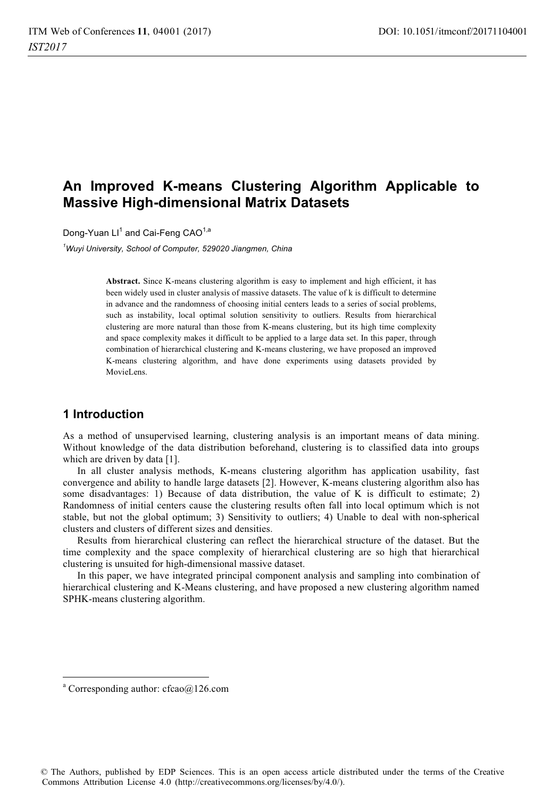# **An Improved K-means Clustering Algorithm Applicable to Massive High-dimensional Matrix Datasets**

Dong-Yuan LI $^{\rm 1}$  and Cai-Feng CAO $^{\rm 1,a}$ 

*1 Wuyi University, School of Computer, 529020 Jiangmen, China* 

**Abstract.** Since K-means clustering algorithm is easy to implement and high efficient, it has been widely used in cluster analysis of massive datasets. The value of k is difficult to determine in advance and the randomness of choosing initial centers leads to a series of social problems, such as instability, local optimal solution sensitivity to outliers. Results from hierarchical clustering are more natural than those from K-means clustering, but its high time complexity and space complexity makes it difficult to be applied to a large data set. In this paper, through combination of hierarchical clustering and K-means clustering, we have proposed an improved K-means clustering algorithm, and have done experiments using datasets provided by MovieLens.

## **1 Introduction**

As a method of unsupervised learning, clustering analysis is an important means of data mining. Without knowledge of the data distribution beforehand, clustering is to classified data into groups which are driven by data [1].

In all cluster analysis methods, K-means clustering algorithm has application usability, fast convergence and ability to handle large datasets [2]. However, K-means clustering algorithm also has some disadvantages: 1) Because of data distribution, the value of K is difficult to estimate; 2) Randomness of initial centers cause the clustering results often fall into local optimum which is not stable, but not the global optimum; 3) Sensitivity to outliers; 4) Unable to deal with non-spherical clusters and clusters of different sizes and densities.

Results from hierarchical clustering can reflect the hierarchical structure of the dataset. But the time complexity and the space complexity of hierarchical clustering are so high that hierarchical clustering is unsuited for high-dimensional massive dataset.

In this paper, we have integrated principal component analysis and sampling into combination of hierarchical clustering and K-Means clustering, and have proposed a new clustering algorithm named SPHK-means clustering algorithm.

 $\overline{a}$ 

a Corresponding author: cfcao@126.com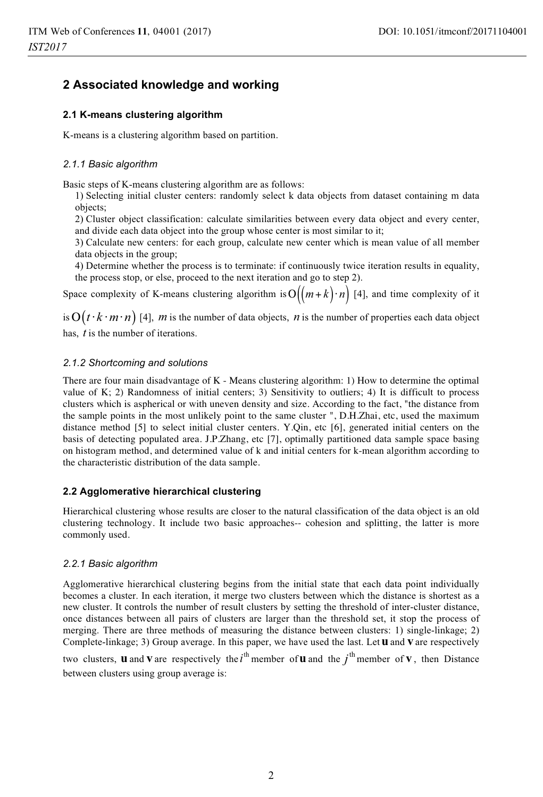# **2 Associated knowledge and working**

### **2.1 K-means clustering algorithm**

K-means is a clustering algorithm based on partition.

### *2.1.1 Basic algorithm*

Basic steps of K-means clustering algorithm are as follows:

1) Selecting initial cluster centers: randomly select k data objects from dataset containing m data objects;

2) Cluster object classification: calculate similarities between every data object and every center, and divide each data object into the group whose center is most similar to it;

3) Calculate new centers: for each group, calculate new center which is mean value of all member data objects in the group;

4) Determine whether the process is to terminate: if continuously twice iteration results in equality, the process stop, or else, proceed to the next iteration and go to step 2).

Space complexity of K-means clustering algorithm is  $O((m+k) \cdot n)$  [4], and time complexity of it

is  $O(t \cdot k \cdot m \cdot n)$  [4], *m* is the number of data objects, *n* is the number of properties each data object has, *t* is the number of iterations.

#### *2.1.2 Shortcoming and solutions*

There are four main disadvantage of K - Means clustering algorithm: 1) How to determine the optimal value of K; 2) Randomness of initial centers; 3) Sensitivity to outliers; 4) It is difficult to process clusters which is aspherical or with uneven density and size. According to the fact, "the distance from the sample points in the most unlikely point to the same cluster ", D.H.Zhai, etc, used the maximum distance method [5] to select initial cluster centers. Y.Qin, etc [6], generated initial centers on the basis of detecting populated area. J.P.Zhang, etc [7], optimally partitioned data sample space basing on histogram method, and determined value of k and initial centers for k-mean algorithm according to the characteristic distribution of the data sample.

#### **2.2 Agglomerative hierarchical clustering**

Hierarchical clustering whose results are closer to the natural classification of the data object is an old clustering technology. It include two basic approaches-- cohesion and splitting, the latter is more commonly used.

### *2.2.1 Basic algorithm*

Agglomerative hierarchical clustering begins from the initial state that each data point individually becomes a cluster. In each iteration, it merge two clusters between which the distance is shortest as a new cluster. It controls the number of result clusters by setting the threshold of inter-cluster distance, once distances between all pairs of clusters are larger than the threshold set, it stop the process of merging. There are three methods of measuring the distance between clusters: 1) single-linkage; 2) Complete-linkage; 3) Group average. In this paper, we have used the last. Let**u** and **v** are respectively

two clusters, **u** and **v** are respectively the  $i^{\text{th}}$  member of **u** and the  $j^{\text{th}}$  member of **v**, then Distance between clusters using group average is: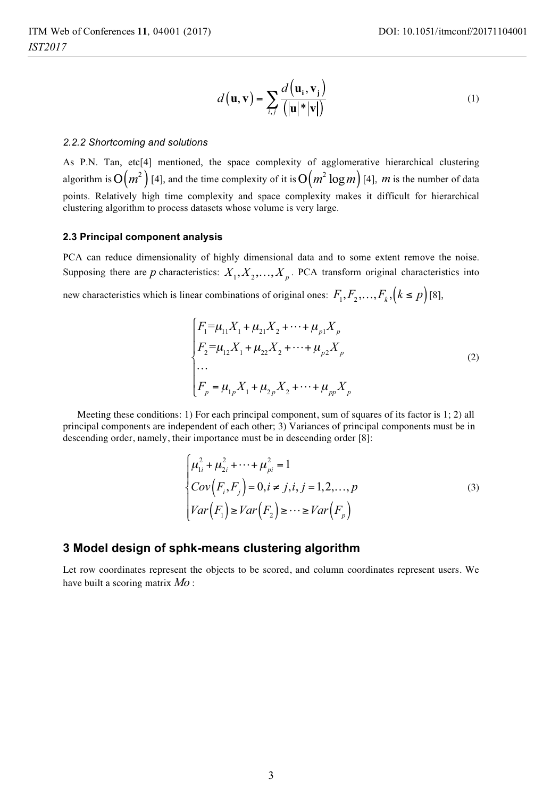$$
d(\mathbf{u}, \mathbf{v}) = \sum_{i,j} \frac{d(\mathbf{u}_i, \mathbf{v}_j)}{(|\mathbf{u}| \cdot |\mathbf{v}|)}
$$
(1)

#### *2.2.2 Shortcoming and solutions*

As P.N. Tan, etc[4] mentioned, the space complexity of agglomerative hierarchical clustering algorithm is  $O(m^2)$  [4], and the time complexity of it is  $O(m^2 \log m)$  [4], *m* is the number of data points. Relatively high time complexity and space complexity makes it difficult for hierarchical clustering algorithm to process datasets whose volume is very large.

#### **2.3 Principal component analysis**

PCA can reduce dimensionality of highly dimensional data and to some extent remove the noise. Supposing there are *p* characteristics:  $X_1, X_2, \ldots, X_p$ . PCA transform original characteristics into new characteristics which is linear combinations of original ones:  $F_1, F_2, \ldots, F_k, (k \le p)$  [8],

$$
\begin{cases}\nF_1 = \mu_{11} X_1 + \mu_{21} X_2 + \dots + \mu_{p1} X_p \\
F_2 = \mu_{12} X_1 + \mu_{22} X_2 + \dots + \mu_{p2} X_p \\
\dots \\
F_p = \mu_{1p} X_1 + \mu_{2p} X_2 + \dots + \mu_{pp} X_p\n\end{cases}
$$
\n(2)

Meeting these conditions: 1) For each principal component, sum of squares of its factor is 1; 2) all principal components are independent of each other; 3) Variances of principal components must be in descending order, namely, their importance must be in descending order [8]:

$$
\begin{cases}\n\mu_{1i}^{2} + \mu_{2i}^{2} + \cdots + \mu_{pi}^{2} = 1 \\
\text{Cov}(F_{i}, F_{j}) = 0, i \neq j, i, j = 1, 2, \dots, p \\
\text{Var}(F_{1}) \geq \text{Var}(F_{2}) \geq \dots \geq \text{Var}(F_{p})\n\end{cases} (3)
$$

### **3 Model design of sphk-means clustering algorithm**

Let row coordinates represent the objects to be scored, and column coordinates represent users. We have built a scoring matrix *Mo* :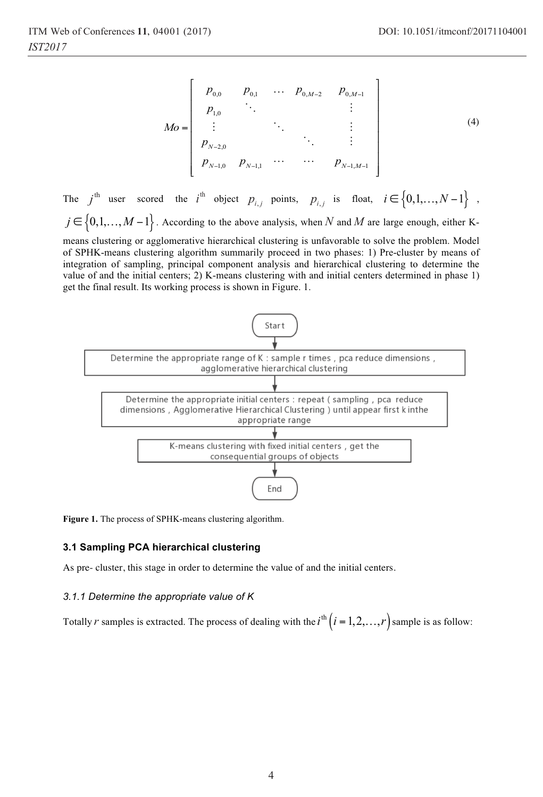$$
Mo = \begin{bmatrix} p_{0,0} & p_{0,1} & \cdots & p_{0,M-2} & p_{0,M-1} \\ p_{1,0} & \ddots & & \vdots \\ \vdots & & \ddots & & \vdots \\ p_{N-2,0} & & & \ddots & \vdots \\ p_{N-1,0} & p_{N-1,1} & \cdots & \cdots & p_{N-1,M-1} \end{bmatrix}
$$
 (4)

The  $j$ <sup>th</sup> user scored the  $i$ <sup>th</sup> object  $p_{i,j}$  points,  $p_{i,j}$  is float,  $i \in \{0,1,...,N-1\}$ ,  $j \in \{0,1,\ldots,M-1\}$ . According to the above analysis, when *N* and *M* are large enough, either Kmeans clustering or agglomerative hierarchical clustering is unfavorable to solve the problem. Model of SPHK-means clustering algorithm summarily proceed in two phases: 1) Pre-cluster by means of integration of sampling, principal component analysis and hierarchical clustering to determine the value of and the initial centers; 2) K-means clustering with and initial centers determined in phase 1) get the final result. Its working process is shown in Figure. 1.



**Figure 1.** The process of SPHK-means clustering algorithm.

#### **3.1 Sampling PCA hierarchical clustering**

As pre- cluster, this stage in order to determine the value of and the initial centers.

#### *3.1.1 Determine the appropriate value of K*

Totally *r* samples is extracted. The process of dealing with the  $i^{\text{th}}(i=1,2,\ldots,r)$  sample is as follow: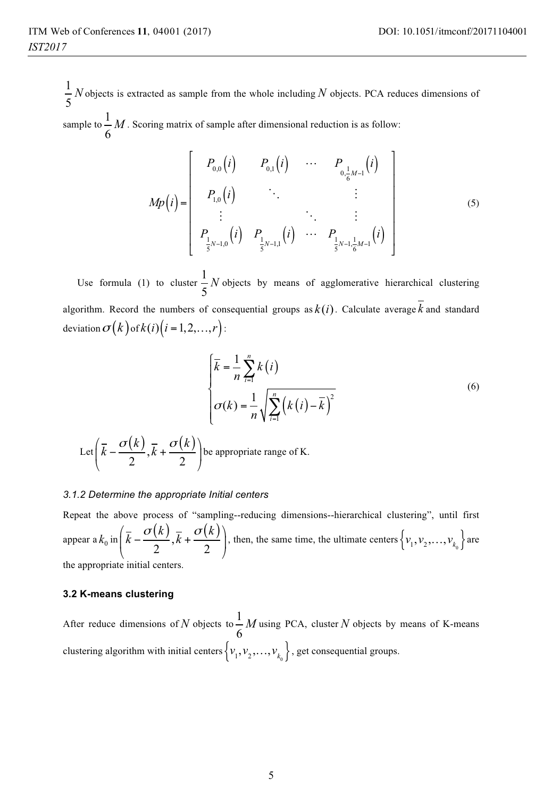1 5 *N* objects is extracted as sample from the whole including *N* objects. PCA reduces dimensions of sample to  $\frac{1}{1}$ 

6 *M* . Scoring matrix of sample after dimensional reduction is as follow:

$$
Mp(i) = \begin{bmatrix} P_{0,0}(i) & P_{0,1}(i) & \cdots & P_{0,\frac{1}{6}M-1}(i) \\ P_{1,0}(i) & \ddots & & \vdots \\ \vdots & & \ddots & \vdots \\ P_{\frac{1}{5}N-1,0}(i) & P_{\frac{1}{5}N-1,1}(i) & \cdots & P_{\frac{1}{5}N-1,\frac{1}{6}M-1}(i) \end{bmatrix}
$$
(5)

Use formula (1) to cluster  $\frac{1}{2}$ 5 *N* objects by means of agglomerative hierarchical clustering algorithm. Record the numbers of consequential groups as  $k(i)$ . Calculate average  $\overline{k}$  and standard deviation  $\sigma(k)$  of  $k(i)(i = 1, 2, ..., r)$ :

$$
\begin{cases}\n\overline{k} = \frac{1}{n} \sum_{i=1}^{n} k(i) \\
\sigma(k) = \frac{1}{n} \sqrt{\sum_{i=1}^{n} \left(k(i) - \overline{k}\right)^2}\n\end{cases} (6)
$$

Let 
$$
\left(\overline{k} - \frac{\sigma(k)}{2}, \overline{k} + \frac{\sigma(k)}{2}\right)
$$
 be appropriate range of K.

#### *3.1.2 Determine the appropriate Initial centers*

Repeat the above process of "sampling--reducing dimensions--hierarchical clustering", until first appear a  $k_0$  in  $\left(\bar{k} - \frac{\sigma(k)}{2}, \bar{k} + \frac{\sigma(k)}{2}\right)$  $\left(\bar{k} - \frac{\sigma(k)}{2}, \bar{k} + \frac{\sigma(k)}{2}\right)$  $\begin{pmatrix} 2 & 2 \end{pmatrix}$ , then, the same time, the ultimate centers  $\left\{v_1, v_2, \ldots, v_{k_0}\right\}$  are the appropriate initial centers.

#### **3.2 K-means clustering**

After reduce dimensions of N objects to  $\frac{1}{2}$ 6 *M* using PCA, cluster *N* objects by means of K-means clustering algorithm with initial centers  $\{v_1, v_2, \ldots, v_{k_0}\}$ , get consequential groups.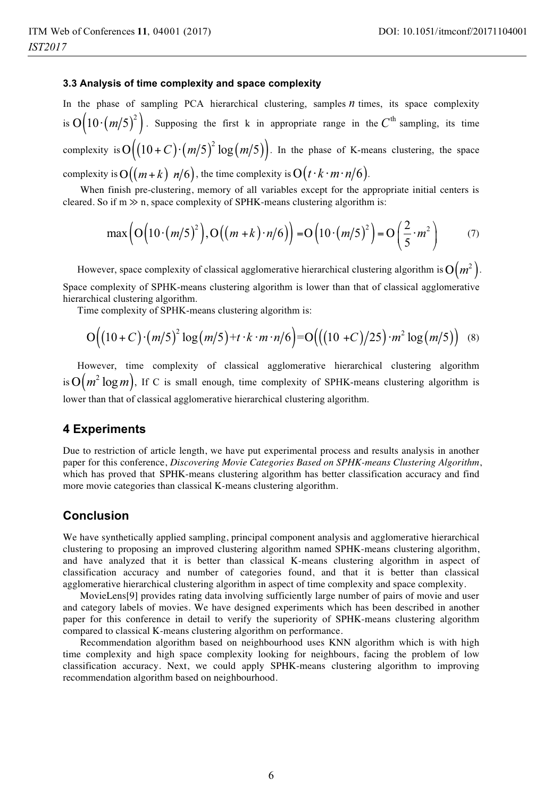#### **3.3 Analysis of time complexity and space complexity**

In the phase of sampling PCA hierarchical clustering, samples *n* times, its space complexity is  $O\left( 10\cdot \left( m/5\right) ^{2}\right)$ . Supposing the first k in appropriate range in the  $C^{\text{th}}$  sampling, its time complexity is  $O((10+C)\cdot (m/5)^2 \log(m/5))$ . In the phase of K-means clustering, the space complexity is  $O((m+k) \; n/6)$ , the time complexity is  $O(t \cdot k \cdot m \cdot n/6)$ .

 When finish pre-clustering, memory of all variables except for the appropriate initial centers is cleared. So if  $m \gg n$ , space complexity of SPHK-means clustering algorithm is:

$$
\max\left(\mathcal{O}\left(\left(10\cdot\left(m/5\right)^{2}\right),\mathcal{O}\left(\left(m+k\right)\cdot n/6\right)\right)=\mathcal{O}\left(\left(10\cdot\left(m/5\right)^{2}\right)=\mathcal{O}\left(\frac{2}{5}\cdot m^{2}\right)\right) (7)
$$

However, space complexity of classical agglomerative hierarchical clustering algorithm is  $O(m^2)$ . Space complexity of SPHK-means clustering algorithm is lower than that of classical agglomerative hierarchical clustering algorithm.

Time complexity of SPHK-means clustering algorithm is:

$$
O((10+C)\cdot (m/5)^2 \log(m/5) + t \cdot k \cdot m \cdot n/6) = O(((10+C)/25) \cdot m^2 \log(m/5)) \quad (8)
$$

However, time complexity of classical agglomerative hierarchical clustering algorithm is  $O(m^2 \log m)$ , If C is small enough, time complexity of SPHK-means clustering algorithm is lower than that of classical agglomerative hierarchical clustering algorithm.

## **4 Experiments**

Due to restriction of article length, we have put experimental process and results analysis in another paper for this conference, *Discovering Movie Categories Based on SPHK-means Clustering Algorithm*, which has proved that SPHK-means clustering algorithm has better classification accuracy and find more movie categories than classical K-means clustering algorithm.

## **Conclusion**

We have synthetically applied sampling, principal component analysis and agglomerative hierarchical clustering to proposing an improved clustering algorithm named SPHK-means clustering algorithm, and have analyzed that it is better than classical K-means clustering algorithm in aspect of classification accuracy and number of categories found, and that it is better than classical agglomerative hierarchical clustering algorithm in aspect of time complexity and space complexity.

 MovieLens[9] provides rating data involving sufficiently large number of pairs of movie and user and category labels of movies. We have designed experiments which has been described in another paper for this conference in detail to verify the superiority of SPHK-means clustering algorithm compared to classical K-means clustering algorithm on performance.

 Recommendation algorithm based on neighbourhood uses KNN algorithm which is with high time complexity and high space complexity looking for neighbours, facing the problem of low classification accuracy. Next, we could apply SPHK-means clustering algorithm to improving recommendation algorithm based on neighbourhood.